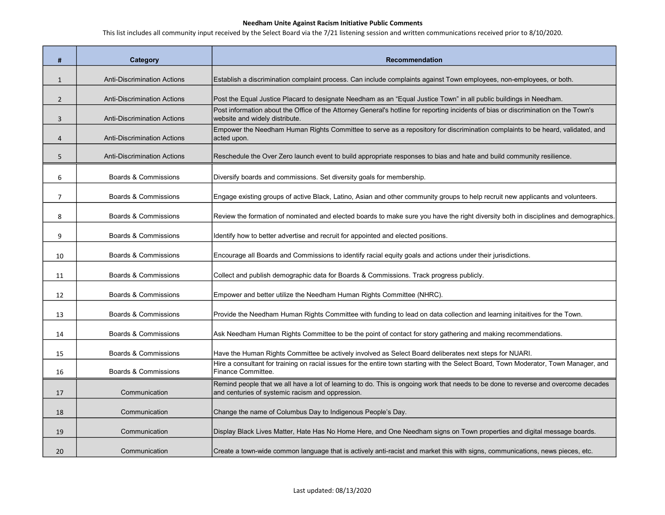| #              | Category                           | <b>Recommendation</b>                                                                                                                                                                  |
|----------------|------------------------------------|----------------------------------------------------------------------------------------------------------------------------------------------------------------------------------------|
| $\mathbf{1}$   | <b>Anti-Discrimination Actions</b> | Establish a discrimination complaint process. Can include complaints against Town employees, non-employees, or both.                                                                   |
| $\overline{2}$ | <b>Anti-Discrimination Actions</b> | Post the Equal Justice Placard to designate Needham as an "Equal Justice Town" in all public buildings in Needham.                                                                     |
| 3              | <b>Anti-Discrimination Actions</b> | Post information about the Office of the Attorney General's hotline for reporting incidents of bias or discrimination on the Town's<br>website and widely distribute.                  |
| $\overline{4}$ | <b>Anti-Discrimination Actions</b> | Empower the Needham Human Rights Committee to serve as a repository for discrimination complaints to be heard, validated, and<br>acted upon.                                           |
| 5              | <b>Anti-Discrimination Actions</b> | Reschedule the Over Zero launch event to build appropriate responses to bias and hate and build community resilience.                                                                  |
| 6              | Boards & Commissions               | Diversify boards and commissions. Set diversity goals for membership.                                                                                                                  |
| $\overline{7}$ | Boards & Commissions               | Engage existing groups of active Black, Latino, Asian and other community groups to help recruit new applicants and volunteers.                                                        |
| 8              | Boards & Commissions               | Review the formation of nominated and elected boards to make sure you have the right diversity both in disciplines and demographics.                                                   |
| 9              | Boards & Commissions               | Identify how to better advertise and recruit for appointed and elected positions.                                                                                                      |
| 10             | Boards & Commissions               | Encourage all Boards and Commissions to identify racial equity goals and actions under their jurisdictions.                                                                            |
| 11             | Boards & Commissions               | Collect and publish demographic data for Boards & Commissions. Track progress publicly.                                                                                                |
| 12             | Boards & Commissions               | Empower and better utilize the Needham Human Rights Committee (NHRC).                                                                                                                  |
| 13             | Boards & Commissions               | Provide the Needham Human Rights Committee with funding to lead on data collection and learning initaitives for the Town.                                                              |
| 14             | Boards & Commissions               | Ask Needham Human Rights Committee to be the point of contact for story gathering and making recommendations.                                                                          |
| 15             | Boards & Commissions               | Have the Human Rights Committee be actively involved as Select Board deliberates next steps for NUARI.                                                                                 |
| 16             | Boards & Commissions               | Hire a consultant for training on racial issues for the entire town starting with the Select Board, Town Moderator, Town Manager, and<br>Finance Committee.                            |
| 17             | Communication                      | Remind people that we all have a lot of learning to do. This is ongoing work that needs to be done to reverse and overcome decades<br>and centuries of systemic racism and oppression. |
| 18             | Communication                      | Change the name of Columbus Day to Indigenous People's Day.                                                                                                                            |
| 19             | Communication                      | Display Black Lives Matter, Hate Has No Home Here, and One Needham signs on Town properties and digital message boards.                                                                |
| 20             | Communication                      | Create a town-wide common language that is actively anti-racist and market this with signs, communications, news pieces, etc.                                                          |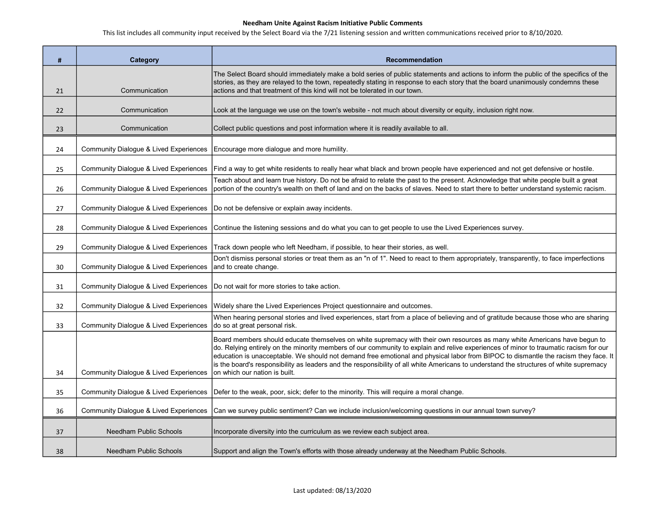| #  | Category                                          | <b>Recommendation</b>                                                                                                                                                                                                                                                                                                                                                                                                                                                                                                                             |
|----|---------------------------------------------------|---------------------------------------------------------------------------------------------------------------------------------------------------------------------------------------------------------------------------------------------------------------------------------------------------------------------------------------------------------------------------------------------------------------------------------------------------------------------------------------------------------------------------------------------------|
| 21 | Communication                                     | The Select Board should immediately make a bold series of public statements and actions to inform the public of the specifics of the<br>stories, as they are relayed to the town, repeatedly stating in response to each story that the board unanimously condemns these<br>actions and that treatment of this kind will not be tolerated in our town.                                                                                                                                                                                            |
| 22 | Communication                                     | Look at the language we use on the town's website - not much about diversity or equity, inclusion right now.                                                                                                                                                                                                                                                                                                                                                                                                                                      |
| 23 | Communication                                     | Collect public questions and post information where it is readily available to all.                                                                                                                                                                                                                                                                                                                                                                                                                                                               |
| 24 | Community Dialogue & Lived Experiences            | Encourage more dialogue and more humility.                                                                                                                                                                                                                                                                                                                                                                                                                                                                                                        |
| 25 | <b>Community Dialogue &amp; Lived Experiences</b> | Find a way to get white residents to really hear what black and brown people have experienced and not get defensive or hostile.                                                                                                                                                                                                                                                                                                                                                                                                                   |
| 26 | Community Dialogue & Lived Experiences            | Teach about and learn true history. Do not be afraid to relate the past to the present. Acknowledge that white people built a great<br>portion of the country's wealth on theft of land and on the backs of slaves. Need to start there to better understand systemic racism.                                                                                                                                                                                                                                                                     |
| 27 | <b>Community Dialogue &amp; Lived Experiences</b> | Do not be defensive or explain away incidents.                                                                                                                                                                                                                                                                                                                                                                                                                                                                                                    |
| 28 | <b>Community Dialogue &amp; Lived Experiences</b> | Continue the listening sessions and do what you can to get people to use the Lived Experiences survey.                                                                                                                                                                                                                                                                                                                                                                                                                                            |
| 29 | Community Dialogue & Lived Experiences            | Track down people who left Needham, if possible, to hear their stories, as well.                                                                                                                                                                                                                                                                                                                                                                                                                                                                  |
| 30 | <b>Community Dialogue &amp; Lived Experiences</b> | Don't dismiss personal stories or treat them as an "n of 1". Need to react to them appropriately, transparently, to face imperfections<br>and to create change.                                                                                                                                                                                                                                                                                                                                                                                   |
| 31 | <b>Community Dialogue &amp; Lived Experiences</b> | Do not wait for more stories to take action.                                                                                                                                                                                                                                                                                                                                                                                                                                                                                                      |
| 32 | Community Dialogue & Lived Experiences            | Widely share the Lived Experiences Project questionnaire and outcomes.                                                                                                                                                                                                                                                                                                                                                                                                                                                                            |
| 33 | Community Dialogue & Lived Experiences            | When hearing personal stories and lived experiences, start from a place of believing and of gratitude because those who are sharing<br>do so at great personal risk.                                                                                                                                                                                                                                                                                                                                                                              |
|    |                                                   | Board members should educate themselves on white supremacy with their own resources as many white Americans have begun to<br>do. Relying entirely on the minority members of our community to explain and relive experiences of minor to traumatic racism for our<br>education is unacceptable. We should not demand free emotional and physical labor from BIPOC to dismantle the racism they face. It<br>is the board's responsibility as leaders and the responsibility of all white Americans to understand the structures of white supremacy |
| 34 | Community Dialogue & Lived Experiences            | on which our nation is built.                                                                                                                                                                                                                                                                                                                                                                                                                                                                                                                     |
| 35 | Community Dialogue & Lived Experiences            | Defer to the weak, poor, sick; defer to the minority. This will require a moral change.                                                                                                                                                                                                                                                                                                                                                                                                                                                           |
| 36 | <b>Community Dialogue &amp; Lived Experiences</b> | Can we survey public sentiment? Can we include inclusion/welcoming questions in our annual town survey?                                                                                                                                                                                                                                                                                                                                                                                                                                           |
| 37 | <b>Needham Public Schools</b>                     | Incorporate diversity into the curriculum as we review each subject area.                                                                                                                                                                                                                                                                                                                                                                                                                                                                         |
| 38 | <b>Needham Public Schools</b>                     | Support and align the Town's efforts with those already underway at the Needham Public Schools.                                                                                                                                                                                                                                                                                                                                                                                                                                                   |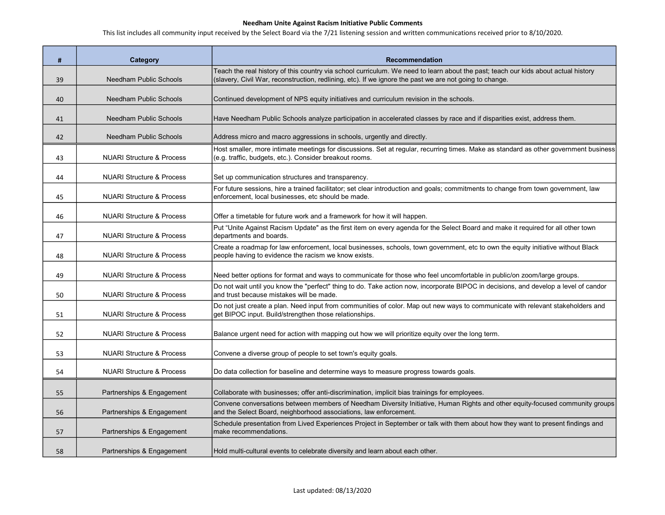| #  | Category                             | <b>Recommendation</b>                                                                                                                                                                                                                         |
|----|--------------------------------------|-----------------------------------------------------------------------------------------------------------------------------------------------------------------------------------------------------------------------------------------------|
| 39 | <b>Needham Public Schools</b>        | Teach the real history of this country via school curriculum. We need to learn about the past; teach our kids about actual history<br>(slavery, Civil War, reconstruction, redlining, etc). If we ignore the past we are not going to change. |
| 40 | Needham Public Schools               | Continued development of NPS equity initiatives and curriculum revision in the schools.                                                                                                                                                       |
| 41 | Needham Public Schools               | Have Needham Public Schools analyze participation in accelerated classes by race and if disparities exist, address them.                                                                                                                      |
| 42 | <b>Needham Public Schools</b>        | Address micro and macro aggressions in schools, urgently and directly.                                                                                                                                                                        |
| 43 | <b>NUARI Structure &amp; Process</b> | Host smaller, more intimate meetings for discussions. Set at regular, recurring times. Make as standard as other government business<br>(e.g. traffic, budgets, etc.). Consider breakout rooms.                                               |
| 44 | <b>NUARI Structure &amp; Process</b> | Set up communication structures and transparency.                                                                                                                                                                                             |
| 45 | <b>NUARI Structure &amp; Process</b> | For future sessions, hire a trained facilitator; set clear introduction and goals; commitments to change from town government, law<br>enforcement, local businesses, etc should be made.                                                      |
| 46 | <b>NUARI Structure &amp; Process</b> | Offer a timetable for future work and a framework for how it will happen.                                                                                                                                                                     |
| 47 | <b>NUARI Structure &amp; Process</b> | Put "Unite Against Racism Update" as the first item on every agenda for the Select Board and make it required for all other town<br>departments and boards.                                                                                   |
| 48 | <b>NUARI Structure &amp; Process</b> | Create a roadmap for law enforcement, local businesses, schools, town government, etc to own the equity initiative without Black<br>people having to evidence the racism we know exists.                                                      |
| 49 | <b>NUARI Structure &amp; Process</b> | Need better options for format and ways to communicate for those who feel uncomfortable in public/on zoom/large groups.                                                                                                                       |
| 50 | <b>NUARI Structure &amp; Process</b> | Do not wait until you know the "perfect" thing to do. Take action now, incorporate BIPOC in decisions, and develop a level of candor<br>and trust because mistakes will be made.                                                              |
| 51 | <b>NUARI Structure &amp; Process</b> | Do not just create a plan. Need input from communities of color. Map out new ways to communicate with relevant stakeholders and<br>get BIPOC input. Build/strengthen those relationships.                                                     |
| 52 | <b>NUARI Structure &amp; Process</b> | Balance urgent need for action with mapping out how we will prioritize equity over the long term.                                                                                                                                             |
| 53 | <b>NUARI Structure &amp; Process</b> | Convene a diverse group of people to set town's equity goals.                                                                                                                                                                                 |
| 54 | <b>NUARI Structure &amp; Process</b> | Do data collection for baseline and determine ways to measure progress towards goals.                                                                                                                                                         |
| 55 | Partnerships & Engagement            | Collaborate with businesses; offer anti-discrimination, implicit bias trainings for employees.                                                                                                                                                |
| 56 | Partnerships & Engagement            | Convene conversations between members of Needham Diversity Initiative, Human Rights and other equity-focused community groups<br>and the Select Board, neighborhood associations, law enforcement.                                            |
| 57 | Partnerships & Engagement            | Schedule presentation from Lived Experiences Project in September or talk with them about how they want to present findings and<br>make recommendations.                                                                                      |
| 58 | Partnerships & Engagement            | Hold multi-cultural events to celebrate diversity and learn about each other.                                                                                                                                                                 |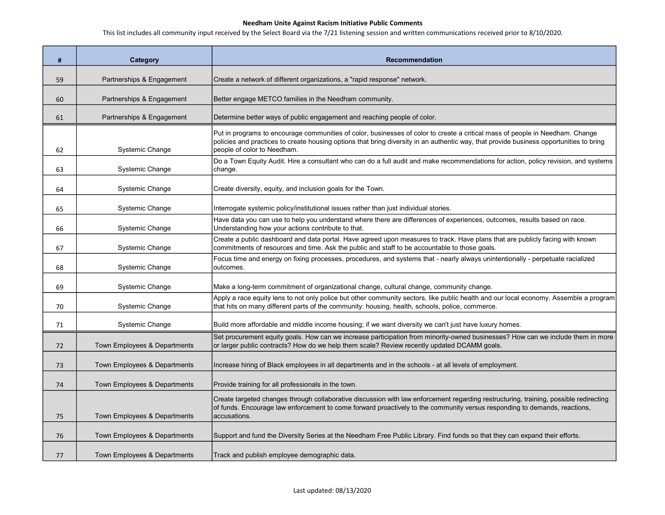| #  | <b>Category</b>              | <b>Recommendation</b>                                                                                                                                                                                                                                                                                   |
|----|------------------------------|---------------------------------------------------------------------------------------------------------------------------------------------------------------------------------------------------------------------------------------------------------------------------------------------------------|
| 59 | Partnerships & Engagement    | Create a network of different organizations, a "rapid response" network.                                                                                                                                                                                                                                |
| 60 | Partnerships & Engagement    | Better engage METCO families in the Needham community.                                                                                                                                                                                                                                                  |
| 61 | Partnerships & Engagement    | Determine better ways of public engagement and reaching people of color.                                                                                                                                                                                                                                |
| 62 | Systemic Change              | Put in programs to encourage communities of color, businesses of color to create a critical mass of people in Needham. Change<br>policies and practices to create housing options that bring diversity in an authentic way, that provide business opportunities to bring<br>people of color to Needham. |
| 63 | Systemic Change              | Do a Town Equity Audit. Hire a consultant who can do a full audit and make recommendations for action, policy revision, and systems<br>change.                                                                                                                                                          |
| 64 | Systemic Change              | Create diversity, equity, and inclusion goals for the Town.                                                                                                                                                                                                                                             |
| 65 | Systemic Change              | Interrogate systemic policy/institutional issues rather than just individual stories.                                                                                                                                                                                                                   |
| 66 | Systemic Change              | Have data you can use to help you understand where there are differences of experiences, outcomes, results based on race.<br>Understanding how your actions contribute to that.                                                                                                                         |
| 67 | Systemic Change              | Create a public dashboard and data portal. Have agreed upon measures to track. Have plans that are publicly facing with known<br>commitments of resources and time. Ask the public and staff to be accountable to those goals.                                                                          |
| 68 | Systemic Change              | Focus time and energy on fixing processes, procedures, and systems that - nearly always unintentionally - perpetuate racialized<br>outcomes.                                                                                                                                                            |
| 69 | <b>Systemic Change</b>       | Make a long-term commitment of organizational change, cultural change, community change.                                                                                                                                                                                                                |
| 70 | Systemic Change              | Apply a race equity lens to not only police but other community sectors, like public health and our local economy. Assemble a program<br>that hits on many different parts of the community: housing, health, schools, police, commerce.                                                                |
| 71 | Systemic Change              | Build more affordable and middle income housing; if we want diversity we can't just have luxury homes.                                                                                                                                                                                                  |
| 72 | Town Employees & Departments | Set procurement equity goals. How can we increase participation from minority-owned businesses? How can we include them in more<br>or larger public contracts? How do we help them scale? Review recently updated DCAMM goals.                                                                          |
| 73 | Town Employees & Departments | Increase hiring of Black employees in all departments and in the schools - at all levels of employment.                                                                                                                                                                                                 |
| 74 | Town Employees & Departments | Provide training for all professionals in the town.                                                                                                                                                                                                                                                     |
| 75 | Town Employees & Departments | Create targeted changes through collaborative discussion with law enforcement regarding restructuring, training, possible redirecting<br>of funds. Encourage law enforcement to come forward proactively to the community versus responding to demands, reactions,<br>accusations.                      |
| 76 | Town Employees & Departments | Support and fund the Diversity Series at the Needham Free Public Library. Find funds so that they can expand their efforts.                                                                                                                                                                             |
| 77 | Town Employees & Departments | Track and publish employee demographic data.                                                                                                                                                                                                                                                            |